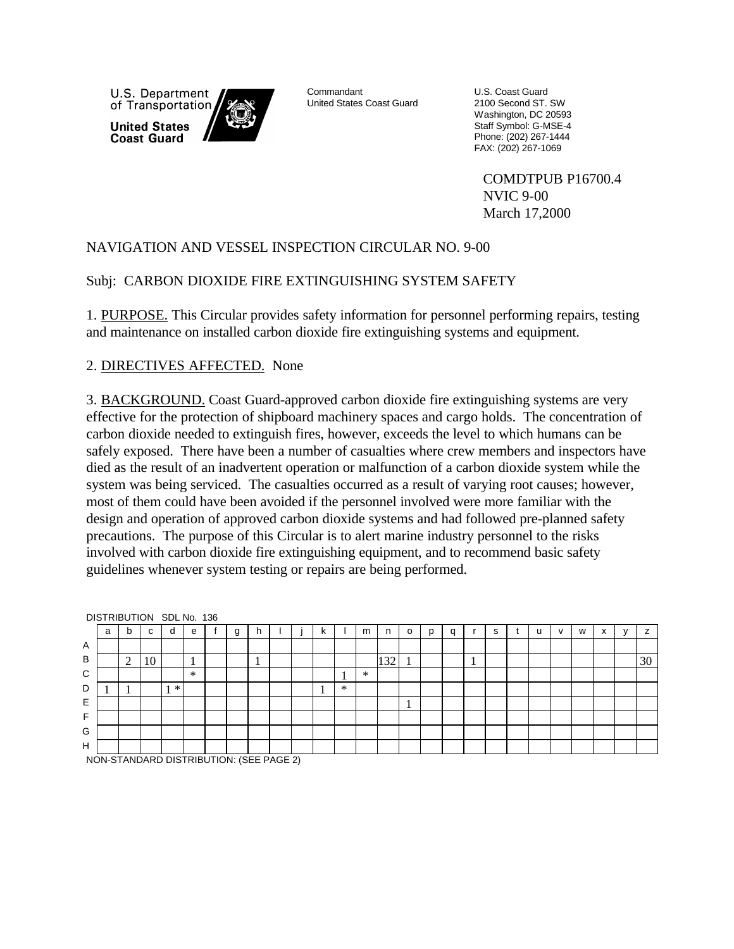U.S. Department of Transportation **United States Coast Guard** 



Commandant United States Coast Guard U.S. Coast Guard 2100 Second ST. SW Washington, DC 20593 Staff Symbol: G-MSE-4 Phone: (202) 267-1444 FAX: (202) 267-1069

COMDTPUB P16700.4 NVIC 9-00 March 17,2000

# NAVIGATION AND VESSEL INSPECTION CIRCULAR NO. 9-00

### Subj: CARBON DIOXIDE FIRE EXTINGUISHING SYSTEM SAFETY

1. PURPOSE. This Circular provides safety information for personnel performing repairs, testing and maintenance on installed carbon dioxide fire extinguishing systems and equipment.

# 2. DIRECTIVES AFFECTED. None

3. BACKGROUND. Coast Guard-approved carbon dioxide fire extinguishing systems are very effective for the protection of shipboard machinery spaces and cargo holds. The concentration of carbon dioxide needed to extinguish fires, however, exceeds the level to which humans can be safely exposed. There have been a number of casualties where crew members and inspectors have died as the result of an inadvertent operation or malfunction of a carbon dioxide system while the system was being serviced. The casualties occurred as a result of varying root causes; however, most of them could have been avoided if the personnel involved were more familiar with the design and operation of approved carbon dioxide systems and had followed pre-planned safety precautions. The purpose of this Circular is to alert marine industry personnel to the risks involved with carbon dioxide fire extinguishing equipment, and to recommend basic safety guidelines whenever system testing or repairs are being performed.

|   | <b>PIOTINDO HOIS ODE NO. 100</b> |        |    |        |              |  |   |    |  |    |        |        |     |          |   |   |   |   |              |   |                           |    |
|---|----------------------------------|--------|----|--------|--------------|--|---|----|--|----|--------|--------|-----|----------|---|---|---|---|--------------|---|---------------------------|----|
|   | a                                | b      | С  | d      | e            |  | g |    |  | n. |        | m      | n   | o        | D | a | s | u | $\mathbf{v}$ | W | $\mathbf{v}$<br>$\lambda$ |    |
| Α |                                  |        |    |        |              |  |   |    |  |    |        |        |     |          |   |   |   |   |              |   |                           |    |
| B |                                  | ◠<br>∠ | 10 |        | $\mathbf{I}$ |  |   | л. |  |    |        |        | 132 | <b>I</b> |   |   |   |   |              |   |                           | 30 |
| C |                                  |        |    |        | ∗            |  |   |    |  |    |        | $\ast$ |     |          |   |   |   |   |              |   |                           |    |
| D |                                  | л      |    | $\ast$ |              |  |   |    |  |    | $\ast$ |        |     |          |   |   |   |   |              |   |                           |    |
| Е |                                  |        |    |        |              |  |   |    |  |    |        |        |     | Τ.       |   |   |   |   |              |   |                           |    |
| E |                                  |        |    |        |              |  |   |    |  |    |        |        |     |          |   |   |   |   |              |   |                           |    |
| G |                                  |        |    |        |              |  |   |    |  |    |        |        |     |          |   |   |   |   |              |   |                           |    |
| H |                                  |        |    |        |              |  |   |    |  |    |        |        |     |          |   |   |   |   |              |   |                           |    |

DISTRIBUTION SDL No. 136

NON-STANDARD DISTRIBUTION: (SEE PAGE 2)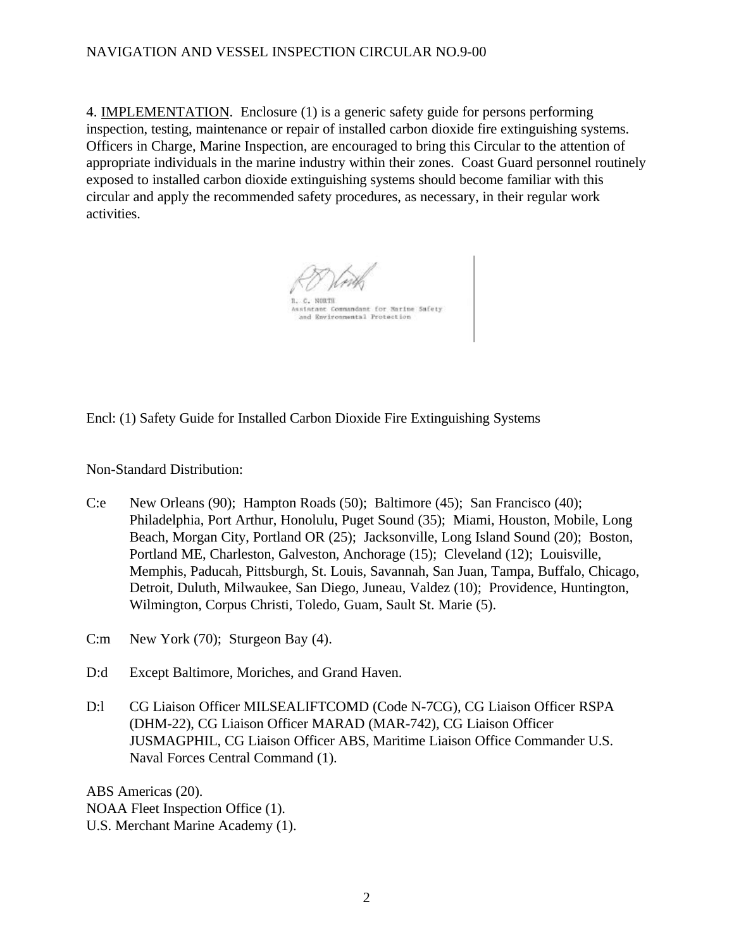## NAVIGATION AND VESSEL INSPECTION CIRCULAR NO.9-00

4. IMPLEMENTATION. Enclosure (1) is a generic safety guide for persons performing inspection, testing, maintenance or repair of installed carbon dioxide fire extinguishing systems. Officers in Charge, Marine Inspection, are encouraged to bring this Circular to the attention of appropriate individuals in the marine industry within their zones. Coast Guard personnel routinely exposed to installed carbon dioxide extinguishing systems should become familiar with this circular and apply the recommended safety procedures, as necessary, in their regular work activities.

issistant Commandant for Narine Safety and Environmental Protection

Encl: (1) Safety Guide for Installed Carbon Dioxide Fire Extinguishing Systems

Non-Standard Distribution:

- C:e New Orleans (90); Hampton Roads (50); Baltimore (45); San Francisco (40); Philadelphia, Port Arthur, Honolulu, Puget Sound (35); Miami, Houston, Mobile, Long Beach, Morgan City, Portland OR (25); Jacksonville, Long Island Sound (20); Boston, Portland ME, Charleston, Galveston, Anchorage (15); Cleveland (12); Louisville, Memphis, Paducah, Pittsburgh, St. Louis, Savannah, San Juan, Tampa, Buffalo, Chicago, Detroit, Duluth, Milwaukee, San Diego, Juneau, Valdez (10); Providence, Huntington, Wilmington, Corpus Christi, Toledo, Guam, Sault St. Marie (5).
- C:m New York (70); Sturgeon Bay (4).
- D:d Except Baltimore, Moriches, and Grand Haven.
- D:l CG Liaison Officer MILSEALIFTCOMD (Code N-7CG), CG Liaison Officer RSPA (DHM-22), CG Liaison Officer MARAD (MAR-742), CG Liaison Officer JUSMAGPHIL, CG Liaison Officer ABS, Maritime Liaison Office Commander U.S. Naval Forces Central Command (1).

ABS Americas (20). NOAA Fleet Inspection Office (1). U.S. Merchant Marine Academy (1).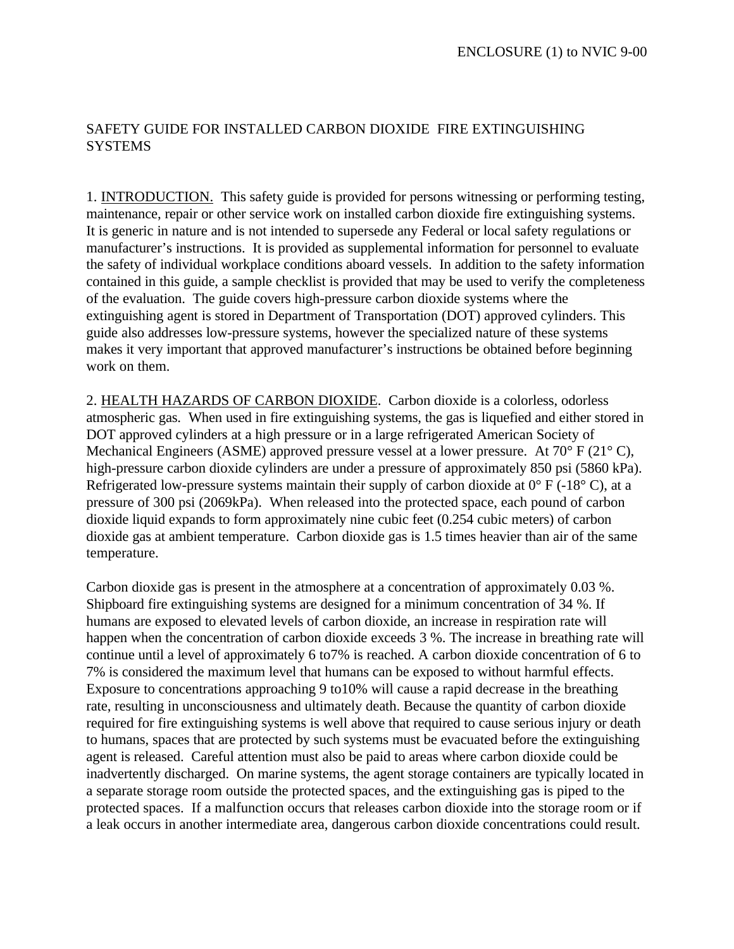# SAFETY GUIDE FOR INSTALLED CARBON DIOXIDE FIRE EXTINGUISHING **SYSTEMS**

1. INTRODUCTION. This safety guide is provided for persons witnessing or performing testing, maintenance, repair or other service work on installed carbon dioxide fire extinguishing systems. It is generic in nature and is not intended to supersede any Federal or local safety regulations or manufacturer's instructions. It is provided as supplemental information for personnel to evaluate the safety of individual workplace conditions aboard vessels. In addition to the safety information contained in this guide, a sample checklist is provided that may be used to verify the completeness of the evaluation. The guide covers high-pressure carbon dioxide systems where the extinguishing agent is stored in Department of Transportation (DOT) approved cylinders. This guide also addresses low-pressure systems, however the specialized nature of these systems makes it very important that approved manufacturer's instructions be obtained before beginning work on them.

2. HEALTH HAZARDS OF CARBON DIOXIDE. Carbon dioxide is a colorless, odorless atmospheric gas. When used in fire extinguishing systems, the gas is liquefied and either stored in DOT approved cylinders at a high pressure or in a large refrigerated American Society of Mechanical Engineers (ASME) approved pressure vessel at a lower pressure. At 70° F (21° C), high-pressure carbon dioxide cylinders are under a pressure of approximately 850 psi (5860 kPa). Refrigerated low-pressure systems maintain their supply of carbon dioxide at  $0^{\circ}$  F (-18 $^{\circ}$  C), at a pressure of 300 psi (2069kPa). When released into the protected space, each pound of carbon dioxide liquid expands to form approximately nine cubic feet (0.254 cubic meters) of carbon dioxide gas at ambient temperature. Carbon dioxide gas is 1.5 times heavier than air of the same temperature.

Carbon dioxide gas is present in the atmosphere at a concentration of approximately 0.03 %. Shipboard fire extinguishing systems are designed for a minimum concentration of 34 %. If humans are exposed to elevated levels of carbon dioxide, an increase in respiration rate will happen when the concentration of carbon dioxide exceeds 3 %. The increase in breathing rate will continue until a level of approximately 6 to7% is reached. A carbon dioxide concentration of 6 to 7% is considered the maximum level that humans can be exposed to without harmful effects. Exposure to concentrations approaching 9 to10% will cause a rapid decrease in the breathing rate, resulting in unconsciousness and ultimately death. Because the quantity of carbon dioxide required for fire extinguishing systems is well above that required to cause serious injury or death to humans, spaces that are protected by such systems must be evacuated before the extinguishing agent is released. Careful attention must also be paid to areas where carbon dioxide could be inadvertently discharged. On marine systems, the agent storage containers are typically located in a separate storage room outside the protected spaces, and the extinguishing gas is piped to the protected spaces. If a malfunction occurs that releases carbon dioxide into the storage room or if a leak occurs in another intermediate area, dangerous carbon dioxide concentrations could result.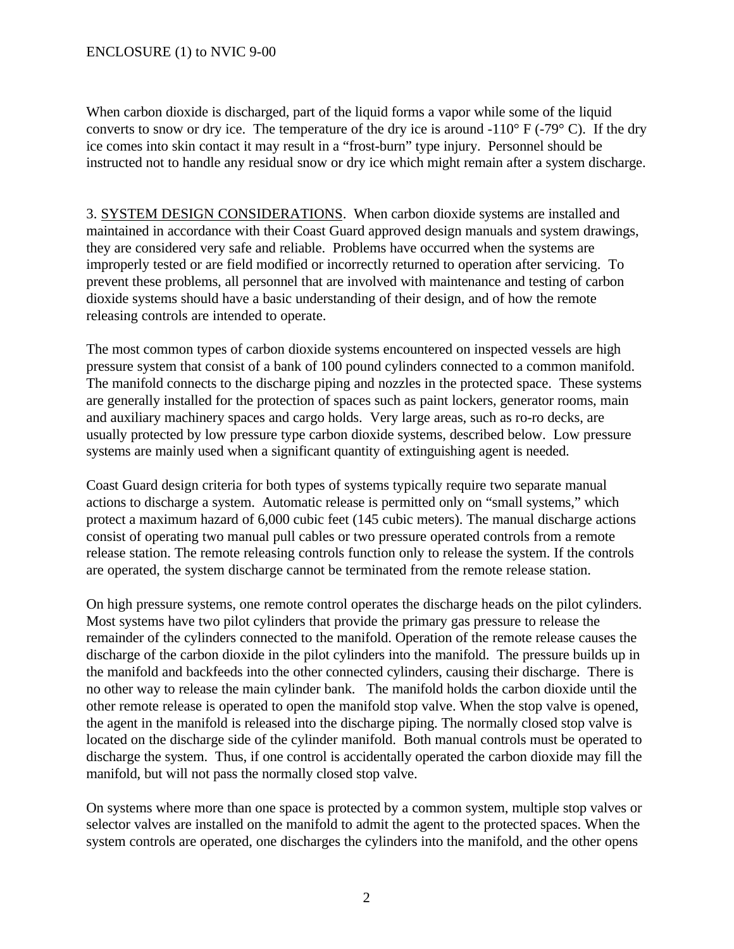When carbon dioxide is discharged, part of the liquid forms a vapor while some of the liquid converts to snow or dry ice. The temperature of the dry ice is around  $-110^{\circ}$  F ( $-79^{\circ}$  C). If the dry ice comes into skin contact it may result in a "frost-burn" type injury. Personnel should be instructed not to handle any residual snow or dry ice which might remain after a system discharge.

3. SYSTEM DESIGN CONSIDERATIONS. When carbon dioxide systems are installed and maintained in accordance with their Coast Guard approved design manuals and system drawings, they are considered very safe and reliable. Problems have occurred when the systems are improperly tested or are field modified or incorrectly returned to operation after servicing. To prevent these problems, all personnel that are involved with maintenance and testing of carbon dioxide systems should have a basic understanding of their design, and of how the remote releasing controls are intended to operate.

The most common types of carbon dioxide systems encountered on inspected vessels are high pressure system that consist of a bank of 100 pound cylinders connected to a common manifold. The manifold connects to the discharge piping and nozzles in the protected space. These systems are generally installed for the protection of spaces such as paint lockers, generator rooms, main and auxiliary machinery spaces and cargo holds. Very large areas, such as ro-ro decks, are usually protected by low pressure type carbon dioxide systems, described below. Low pressure systems are mainly used when a significant quantity of extinguishing agent is needed.

Coast Guard design criteria for both types of systems typically require two separate manual actions to discharge a system. Automatic release is permitted only on "small systems," which protect a maximum hazard of 6,000 cubic feet (145 cubic meters). The manual discharge actions consist of operating two manual pull cables or two pressure operated controls from a remote release station. The remote releasing controls function only to release the system. If the controls are operated, the system discharge cannot be terminated from the remote release station.

On high pressure systems, one remote control operates the discharge heads on the pilot cylinders. Most systems have two pilot cylinders that provide the primary gas pressure to release the remainder of the cylinders connected to the manifold. Operation of the remote release causes the discharge of the carbon dioxide in the pilot cylinders into the manifold. The pressure builds up in the manifold and backfeeds into the other connected cylinders, causing their discharge. There is no other way to release the main cylinder bank. The manifold holds the carbon dioxide until the other remote release is operated to open the manifold stop valve. When the stop valve is opened, the agent in the manifold is released into the discharge piping. The normally closed stop valve is located on the discharge side of the cylinder manifold. Both manual controls must be operated to discharge the system. Thus, if one control is accidentally operated the carbon dioxide may fill the manifold, but will not pass the normally closed stop valve.

On systems where more than one space is protected by a common system, multiple stop valves or selector valves are installed on the manifold to admit the agent to the protected spaces. When the system controls are operated, one discharges the cylinders into the manifold, and the other opens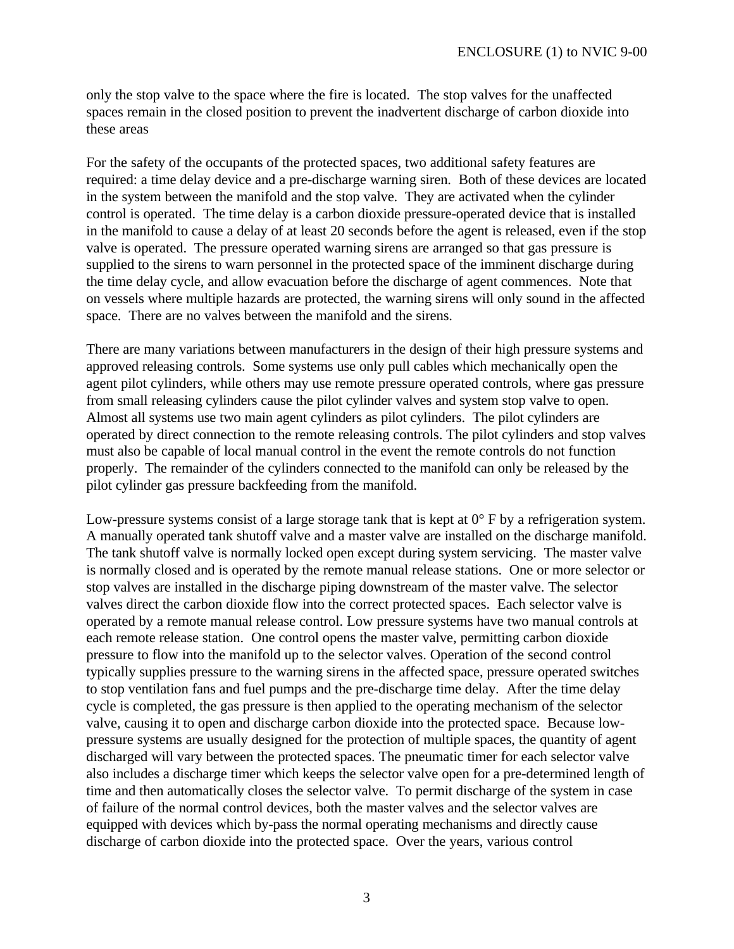only the stop valve to the space where the fire is located. The stop valves for the unaffected spaces remain in the closed position to prevent the inadvertent discharge of carbon dioxide into these areas

For the safety of the occupants of the protected spaces, two additional safety features are required: a time delay device and a pre-discharge warning siren. Both of these devices are located in the system between the manifold and the stop valve. They are activated when the cylinder control is operated. The time delay is a carbon dioxide pressure-operated device that is installed in the manifold to cause a delay of at least 20 seconds before the agent is released, even if the stop valve is operated. The pressure operated warning sirens are arranged so that gas pressure is supplied to the sirens to warn personnel in the protected space of the imminent discharge during the time delay cycle, and allow evacuation before the discharge of agent commences. Note that on vessels where multiple hazards are protected, the warning sirens will only sound in the affected space. There are no valves between the manifold and the sirens.

There are many variations between manufacturers in the design of their high pressure systems and approved releasing controls. Some systems use only pull cables which mechanically open the agent pilot cylinders, while others may use remote pressure operated controls, where gas pressure from small releasing cylinders cause the pilot cylinder valves and system stop valve to open. Almost all systems use two main agent cylinders as pilot cylinders. The pilot cylinders are operated by direct connection to the remote releasing controls. The pilot cylinders and stop valves must also be capable of local manual control in the event the remote controls do not function properly. The remainder of the cylinders connected to the manifold can only be released by the pilot cylinder gas pressure backfeeding from the manifold.

Low-pressure systems consist of a large storage tank that is kept at 0° F by a refrigeration system. A manually operated tank shutoff valve and a master valve are installed on the discharge manifold. The tank shutoff valve is normally locked open except during system servicing. The master valve is normally closed and is operated by the remote manual release stations. One or more selector or stop valves are installed in the discharge piping downstream of the master valve. The selector valves direct the carbon dioxide flow into the correct protected spaces. Each selector valve is operated by a remote manual release control. Low pressure systems have two manual controls at each remote release station. One control opens the master valve, permitting carbon dioxide pressure to flow into the manifold up to the selector valves. Operation of the second control typically supplies pressure to the warning sirens in the affected space, pressure operated switches to stop ventilation fans and fuel pumps and the pre-discharge time delay. After the time delay cycle is completed, the gas pressure is then applied to the operating mechanism of the selector valve, causing it to open and discharge carbon dioxide into the protected space. Because lowpressure systems are usually designed for the protection of multiple spaces, the quantity of agent discharged will vary between the protected spaces. The pneumatic timer for each selector valve also includes a discharge timer which keeps the selector valve open for a pre-determined length of time and then automatically closes the selector valve. To permit discharge of the system in case of failure of the normal control devices, both the master valves and the selector valves are equipped with devices which by-pass the normal operating mechanisms and directly cause discharge of carbon dioxide into the protected space. Over the years, various control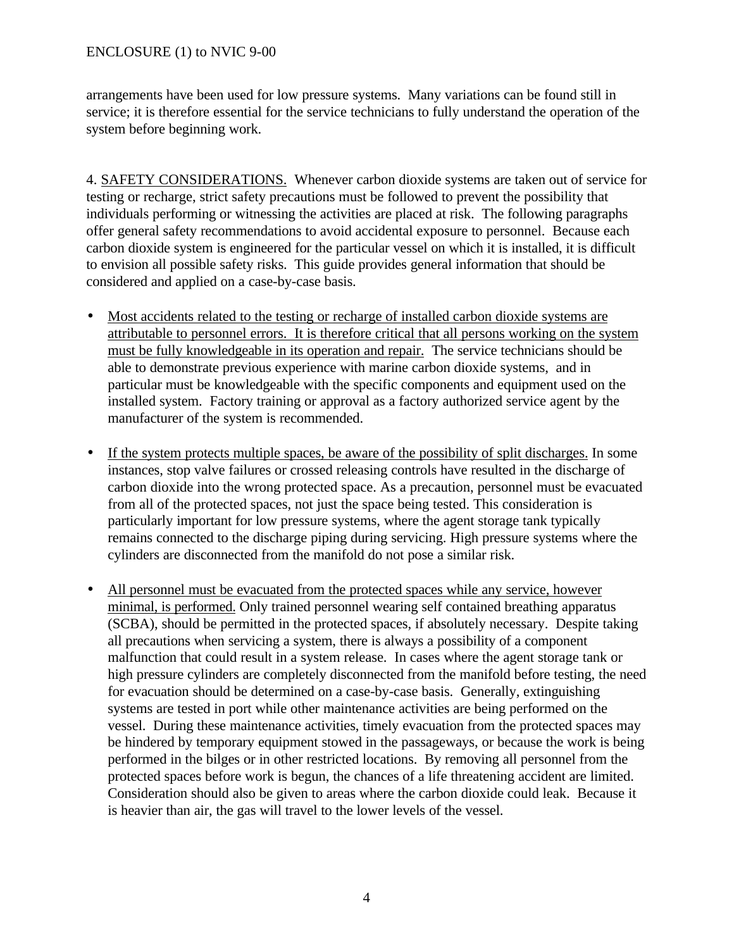#### ENCLOSURE (1) to NVIC 9-00

arrangements have been used for low pressure systems. Many variations can be found still in service; it is therefore essential for the service technicians to fully understand the operation of the system before beginning work.

4. SAFETY CONSIDERATIONS. Whenever carbon dioxide systems are taken out of service for testing or recharge, strict safety precautions must be followed to prevent the possibility that individuals performing or witnessing the activities are placed at risk. The following paragraphs offer general safety recommendations to avoid accidental exposure to personnel. Because each carbon dioxide system is engineered for the particular vessel on which it is installed, it is difficult to envision all possible safety risks. This guide provides general information that should be considered and applied on a case-by-case basis.

- Most accidents related to the testing or recharge of installed carbon dioxide systems are attributable to personnel errors. It is therefore critical that all persons working on the system must be fully knowledgeable in its operation and repair. The service technicians should be able to demonstrate previous experience with marine carbon dioxide systems, and in particular must be knowledgeable with the specific components and equipment used on the installed system. Factory training or approval as a factory authorized service agent by the manufacturer of the system is recommended.
- If the system protects multiple spaces, be aware of the possibility of split discharges. In some instances, stop valve failures or crossed releasing controls have resulted in the discharge of carbon dioxide into the wrong protected space. As a precaution, personnel must be evacuated from all of the protected spaces, not just the space being tested. This consideration is particularly important for low pressure systems, where the agent storage tank typically remains connected to the discharge piping during servicing. High pressure systems where the cylinders are disconnected from the manifold do not pose a similar risk.
- All personnel must be evacuated from the protected spaces while any service, however minimal, is performed. Only trained personnel wearing self contained breathing apparatus (SCBA), should be permitted in the protected spaces, if absolutely necessary. Despite taking all precautions when servicing a system, there is always a possibility of a component malfunction that could result in a system release. In cases where the agent storage tank or high pressure cylinders are completely disconnected from the manifold before testing, the need for evacuation should be determined on a case-by-case basis. Generally, extinguishing systems are tested in port while other maintenance activities are being performed on the vessel. During these maintenance activities, timely evacuation from the protected spaces may be hindered by temporary equipment stowed in the passageways, or because the work is being performed in the bilges or in other restricted locations. By removing all personnel from the protected spaces before work is begun, the chances of a life threatening accident are limited. Consideration should also be given to areas where the carbon dioxide could leak. Because it is heavier than air, the gas will travel to the lower levels of the vessel.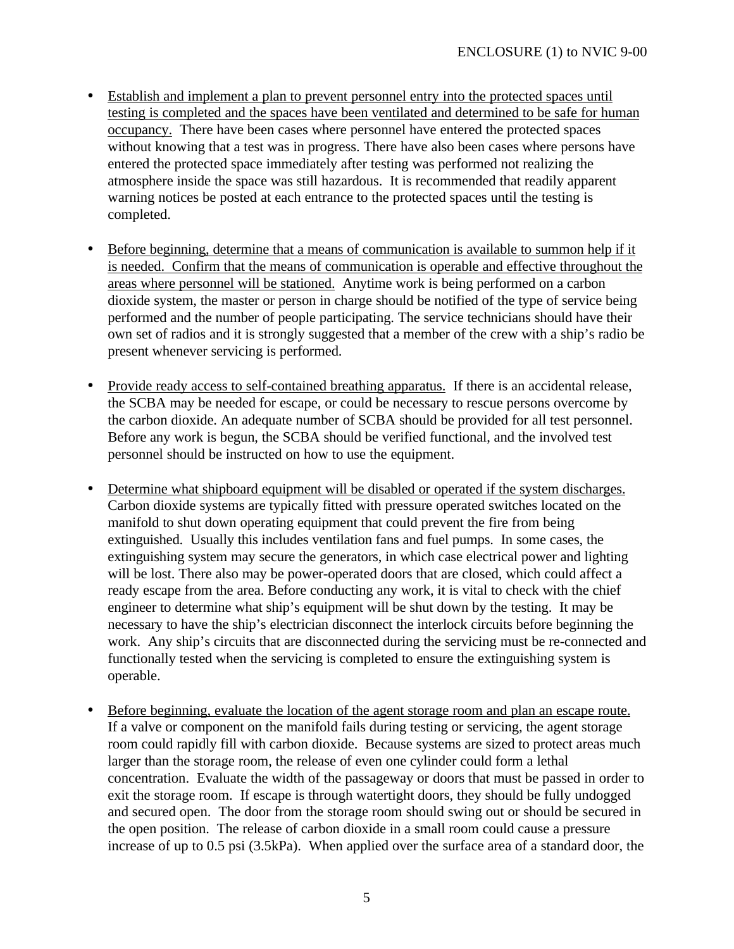- Establish and implement a plan to prevent personnel entry into the protected spaces until testing is completed and the spaces have been ventilated and determined to be safe for human occupancy. There have been cases where personnel have entered the protected spaces without knowing that a test was in progress. There have also been cases where persons have entered the protected space immediately after testing was performed not realizing the atmosphere inside the space was still hazardous. It is recommended that readily apparent warning notices be posted at each entrance to the protected spaces until the testing is completed.
- Before beginning, determine that a means of communication is available to summon help if it is needed. Confirm that the means of communication is operable and effective throughout the areas where personnel will be stationed. Anytime work is being performed on a carbon dioxide system, the master or person in charge should be notified of the type of service being performed and the number of people participating. The service technicians should have their own set of radios and it is strongly suggested that a member of the crew with a ship's radio be present whenever servicing is performed.
- Provide ready access to self-contained breathing apparatus. If there is an accidental release, the SCBA may be needed for escape, or could be necessary to rescue persons overcome by the carbon dioxide. An adequate number of SCBA should be provided for all test personnel. Before any work is begun, the SCBA should be verified functional, and the involved test personnel should be instructed on how to use the equipment.
- Determine what shipboard equipment will be disabled or operated if the system discharges. Carbon dioxide systems are typically fitted with pressure operated switches located on the manifold to shut down operating equipment that could prevent the fire from being extinguished. Usually this includes ventilation fans and fuel pumps. In some cases, the extinguishing system may secure the generators, in which case electrical power and lighting will be lost. There also may be power-operated doors that are closed, which could affect a ready escape from the area. Before conducting any work, it is vital to check with the chief engineer to determine what ship's equipment will be shut down by the testing. It may be necessary to have the ship's electrician disconnect the interlock circuits before beginning the work. Any ship's circuits that are disconnected during the servicing must be re-connected and functionally tested when the servicing is completed to ensure the extinguishing system is operable.
- Before beginning, evaluate the location of the agent storage room and plan an escape route. If a valve or component on the manifold fails during testing or servicing, the agent storage room could rapidly fill with carbon dioxide. Because systems are sized to protect areas much larger than the storage room, the release of even one cylinder could form a lethal concentration. Evaluate the width of the passageway or doors that must be passed in order to exit the storage room. If escape is through watertight doors, they should be fully undogged and secured open. The door from the storage room should swing out or should be secured in the open position. The release of carbon dioxide in a small room could cause a pressure increase of up to 0.5 psi (3.5kPa). When applied over the surface area of a standard door, the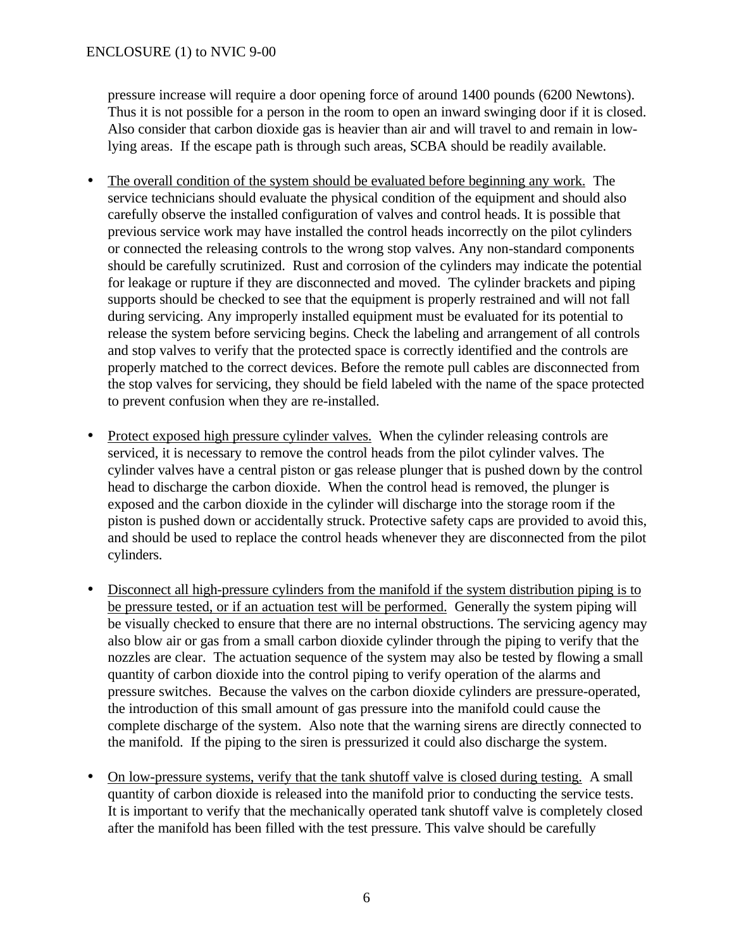pressure increase will require a door opening force of around 1400 pounds (6200 Newtons). Thus it is not possible for a person in the room to open an inward swinging door if it is closed. Also consider that carbon dioxide gas is heavier than air and will travel to and remain in lowlying areas. If the escape path is through such areas, SCBA should be readily available.

- The overall condition of the system should be evaluated before beginning any work. The service technicians should evaluate the physical condition of the equipment and should also carefully observe the installed configuration of valves and control heads. It is possible that previous service work may have installed the control heads incorrectly on the pilot cylinders or connected the releasing controls to the wrong stop valves. Any non-standard components should be carefully scrutinized. Rust and corrosion of the cylinders may indicate the potential for leakage or rupture if they are disconnected and moved. The cylinder brackets and piping supports should be checked to see that the equipment is properly restrained and will not fall during servicing. Any improperly installed equipment must be evaluated for its potential to release the system before servicing begins. Check the labeling and arrangement of all controls and stop valves to verify that the protected space is correctly identified and the controls are properly matched to the correct devices. Before the remote pull cables are disconnected from the stop valves for servicing, they should be field labeled with the name of the space protected to prevent confusion when they are re-installed.
- Protect exposed high pressure cylinder valves. When the cylinder releasing controls are serviced, it is necessary to remove the control heads from the pilot cylinder valves. The cylinder valves have a central piston or gas release plunger that is pushed down by the control head to discharge the carbon dioxide. When the control head is removed, the plunger is exposed and the carbon dioxide in the cylinder will discharge into the storage room if the piston is pushed down or accidentally struck. Protective safety caps are provided to avoid this, and should be used to replace the control heads whenever they are disconnected from the pilot cylinders.
- Disconnect all high-pressure cylinders from the manifold if the system distribution piping is to be pressure tested, or if an actuation test will be performed. Generally the system piping will be visually checked to ensure that there are no internal obstructions. The servicing agency may also blow air or gas from a small carbon dioxide cylinder through the piping to verify that the nozzles are clear. The actuation sequence of the system may also be tested by flowing a small quantity of carbon dioxide into the control piping to verify operation of the alarms and pressure switches. Because the valves on the carbon dioxide cylinders are pressure-operated, the introduction of this small amount of gas pressure into the manifold could cause the complete discharge of the system. Also note that the warning sirens are directly connected to the manifold. If the piping to the siren is pressurized it could also discharge the system.
- On low-pressure systems, verify that the tank shutoff valve is closed during testing. A small quantity of carbon dioxide is released into the manifold prior to conducting the service tests. It is important to verify that the mechanically operated tank shutoff valve is completely closed after the manifold has been filled with the test pressure. This valve should be carefully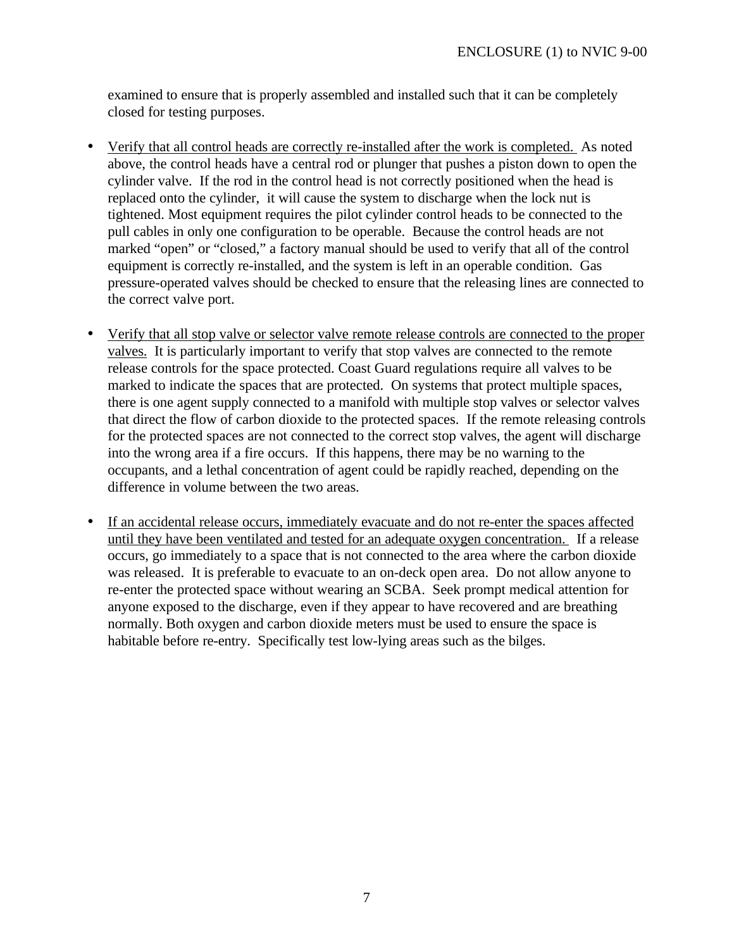examined to ensure that is properly assembled and installed such that it can be completely closed for testing purposes.

- Verify that all control heads are correctly re-installed after the work is completed. As noted above, the control heads have a central rod or plunger that pushes a piston down to open the cylinder valve. If the rod in the control head is not correctly positioned when the head is replaced onto the cylinder, it will cause the system to discharge when the lock nut is tightened. Most equipment requires the pilot cylinder control heads to be connected to the pull cables in only one configuration to be operable. Because the control heads are not marked "open" or "closed," a factory manual should be used to verify that all of the control equipment is correctly re-installed, and the system is left in an operable condition. Gas pressure-operated valves should be checked to ensure that the releasing lines are connected to the correct valve port.
- Verify that all stop valve or selector valve remote release controls are connected to the proper valves. It is particularly important to verify that stop valves are connected to the remote release controls for the space protected. Coast Guard regulations require all valves to be marked to indicate the spaces that are protected. On systems that protect multiple spaces, there is one agent supply connected to a manifold with multiple stop valves or selector valves that direct the flow of carbon dioxide to the protected spaces. If the remote releasing controls for the protected spaces are not connected to the correct stop valves, the agent will discharge into the wrong area if a fire occurs. If this happens, there may be no warning to the occupants, and a lethal concentration of agent could be rapidly reached, depending on the difference in volume between the two areas.
- If an accidental release occurs, immediately evacuate and do not re-enter the spaces affected until they have been ventilated and tested for an adequate oxygen concentration. If a release occurs, go immediately to a space that is not connected to the area where the carbon dioxide was released. It is preferable to evacuate to an on-deck open area. Do not allow anyone to re-enter the protected space without wearing an SCBA. Seek prompt medical attention for anyone exposed to the discharge, even if they appear to have recovered and are breathing normally. Both oxygen and carbon dioxide meters must be used to ensure the space is habitable before re-entry. Specifically test low-lying areas such as the bilges.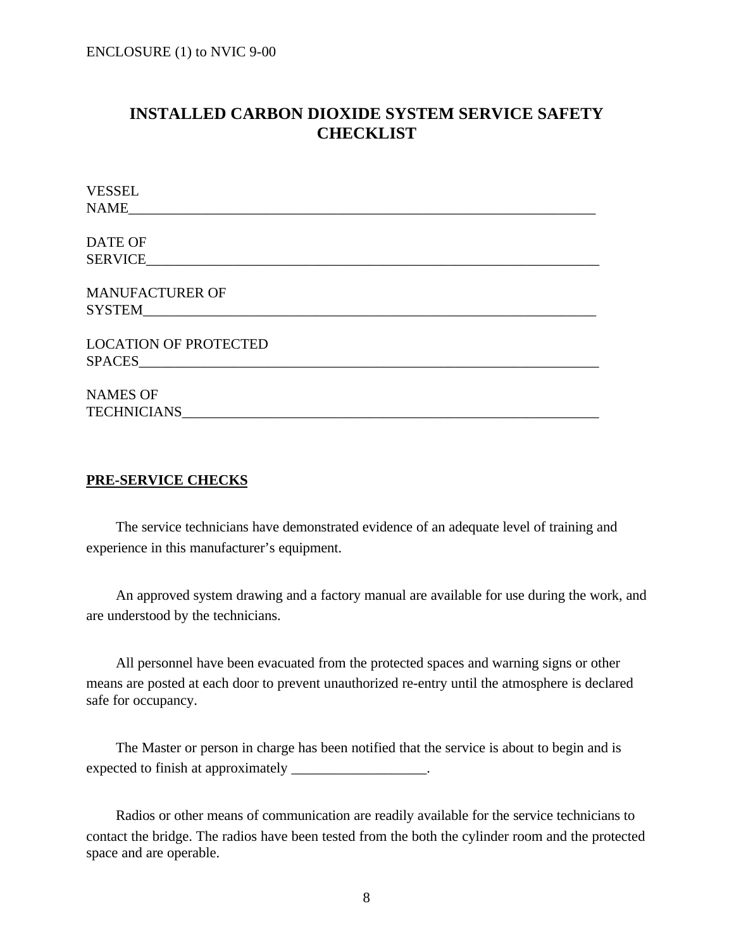# **INSTALLED CARBON DIOXIDE SYSTEM SERVICE SAFETY CHECKLIST**

| <b>VESSEL</b>                |
|------------------------------|
| <b>NAME</b>                  |
|                              |
| <b>DATE OF</b>               |
| <b>SERVICE</b>               |
|                              |
| <b>MANUFACTURER OF</b>       |
|                              |
| <b>LOCATION OF PROTECTED</b> |
|                              |
|                              |
| <b>NAMES OF</b>              |
| <b>TECHNICIANS</b>           |
|                              |

#### **PRE-SERVICE CHECKS**

 The service technicians have demonstrated evidence of an adequate level of training and experience in this manufacturer's equipment.

 An approved system drawing and a factory manual are available for use during the work, and are understood by the technicians.

 All personnel have been evacuated from the protected spaces and warning signs or other means are posted at each door to prevent unauthorized re-entry until the atmosphere is declared safe for occupancy.

 The Master or person in charge has been notified that the service is about to begin and is expected to finish at approximately \_\_\_\_\_\_\_\_\_\_\_\_\_\_\_\_\_\_.

 Radios or other means of communication are readily available for the service technicians to contact the bridge. The radios have been tested from the both the cylinder room and the protected space and are operable.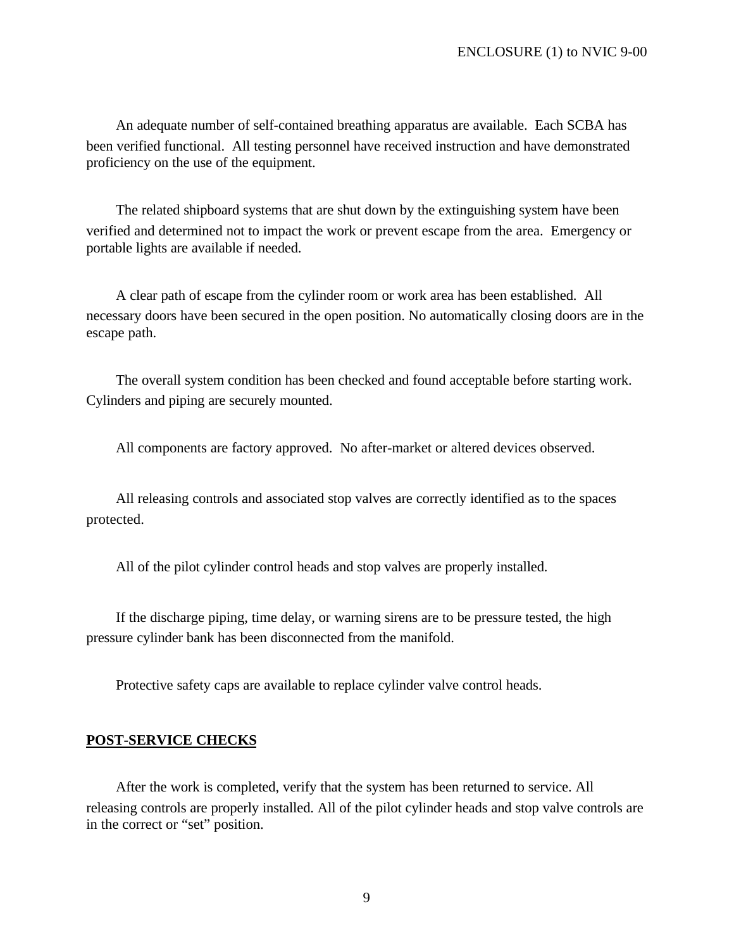An adequate number of self-contained breathing apparatus are available. Each SCBA has been verified functional. All testing personnel have received instruction and have demonstrated proficiency on the use of the equipment.

 The related shipboard systems that are shut down by the extinguishing system have been verified and determined not to impact the work or prevent escape from the area. Emergency or portable lights are available if needed.

 A clear path of escape from the cylinder room or work area has been established. All necessary doors have been secured in the open position. No automatically closing doors are in the escape path.

 The overall system condition has been checked and found acceptable before starting work. Cylinders and piping are securely mounted.

All components are factory approved. No after-market or altered devices observed.

 All releasing controls and associated stop valves are correctly identified as to the spaces protected.

All of the pilot cylinder control heads and stop valves are properly installed.

 If the discharge piping, time delay, or warning sirens are to be pressure tested, the high pressure cylinder bank has been disconnected from the manifold.

Protective safety caps are available to replace cylinder valve control heads.

#### **POST-SERVICE CHECKS**

 After the work is completed, verify that the system has been returned to service. All releasing controls are properly installed. All of the pilot cylinder heads and stop valve controls are in the correct or "set" position.

9